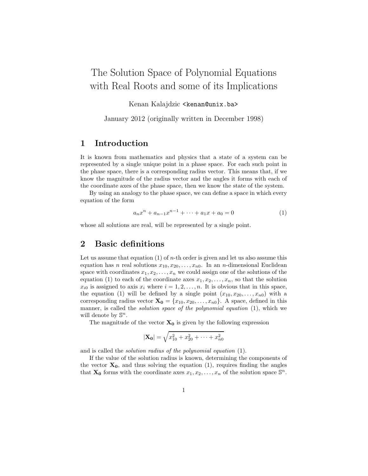# The Solution Space of Polynomial Equations with Real Roots and some of its Implications

Kenan Kalajdzic <kenan@unix.ba>

January 2012 (originally written in December 1998)

#### 1 Introduction

It is known from mathematics and physics that a state of a system can be represented by a single unique point in a phase space. For each such point in the phase space, there is a corresponding radius vector. This means that, if we know the magnitude of the radius vector and the angles it forms with each of the coordinate axes of the phase space, then we know the state of the system.

By using an analogy to the phase space, we can define a space in which every equation of the form

$$
a_n x^n + a_{n-1} x^{n-1} + \dots + a_1 x + a_0 = 0 \tag{1}
$$

whose all solutions are real, will be represented by a single point.

#### 2 Basic definitions

Let us assume that equation  $(1)$  of *n*-th order is given and let us also assume this equation has n real solutions  $x_{10}, x_{20}, \ldots, x_{n0}$ . In an n-dimensional Euclidean space with coordinates  $x_1, x_2, \ldots, x_n$  we could assign one of the solutions of the equation (1) to each of the coordinate axes  $x_1, x_2, \ldots, x_n$ , so that the solution  $x_{i0}$  is assigned to axis  $x_i$  where  $i = 1, 2, \ldots, n$ . It is obvious that in this space, the equation (1) will be defined by a single point  $(x_{10}, x_{20}, \ldots, x_{n0})$  with a corresponding radius vector  $\mathbf{X_0} = \{x_{10}, x_{20}, \ldots, x_{n0}\}$ . A space, defined in this manner, is called the *solution space of the polynomial equation* (1), which we will denote by  $\mathbb{S}^n$ .

The magnitude of the vector  $X_0$  is given by the following expression

$$
|\mathbf{X_0}| = \sqrt{x_{10}^2 + x_{20}^2 + \dots + x_{n0}^2}
$$

and is called the solution radius of the polynomial equation (1).

If the value of the solution radius is known, determining the components of the vector  $X_0$ , and thus solving the equation (1), requires finding the angles that **X<sub>0</sub>** forms with the coordinate axes  $x_1, x_2, \ldots, x_n$  of the solution space  $\mathbb{S}^n$ .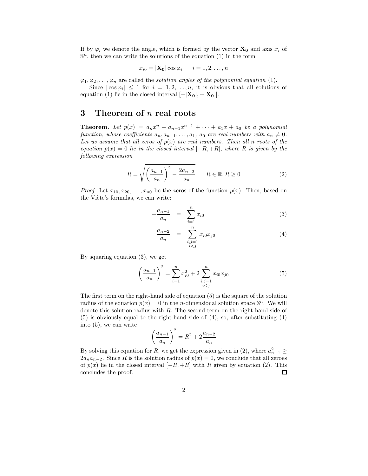If by  $\varphi_i$  we denote the angle, which is formed by the vector  $\mathbf{X_0}$  and axis  $x_i$  of  $\mathbb{S}^n$ , then we can write the solutions of the equation (1) in the form

$$
x_{i0} = |\mathbf{X_0}| \cos \varphi_i \qquad i = 1, 2, \dots, n
$$

 $\varphi_1, \varphi_2, \ldots, \varphi_n$  are called the *solution angles of the polynomial equation* (1).

Since  $|\cos\varphi_i| \leq 1$  for  $i = 1, 2, ..., n$ , it is obvious that all solutions of equation (1) lie in the closed interval  $[-|\mathbf{X_0}|, +|\mathbf{X_0}|]$ .

### 3 Theorem of  $n$  real roots

**Theorem.** Let  $p(x) = a_n x^n + a_{n-1} x^{n-1} + \cdots + a_1 x + a_0$  be a polynomial function, whose coefficients  $a_n, a_{n-1}, \ldots, a_1, a_0$  are real numbers with  $a_n \neq 0$ . Let us assume that all zeros of  $p(x)$  are real numbers. Then all n roots of the equation  $p(x) = 0$  lie in the closed interval  $[-R, +R]$ , where R is given by the following expression

$$
R = \sqrt{\left(\frac{a_{n-1}}{a_n}\right)^2 - \frac{2a_{n-2}}{a_n}} \qquad R \in \mathbb{R}, R \ge 0
$$
 (2)

*Proof.* Let  $x_{10}, x_{20}, \ldots, x_{n0}$  be the zeros of the function  $p(x)$ . Then, based on the Viète's formulas, we can write:

$$
-\frac{a_{n-1}}{a_n} = \sum_{i=1}^n x_{i0} \tag{3}
$$

$$
\frac{a_{n-2}}{a_n} = \sum_{\substack{i,j=1 \ i
$$

By squaring equation (3), we get

$$
\left(\frac{a_{n-1}}{a_n}\right)^2 = \sum_{i=1}^n x_{i0}^2 + 2\sum_{\substack{i,j=1\\i\n(5)
$$

The first term on the right-hand side of equation (5) is the square of the solution radius of the equation  $p(x) = 0$  in the *n*-dimensional solution space  $\mathbb{S}^n$ . We will denote this solution radius with  $R$ . The second term on the right-hand side of (5) is obviously equal to the right-hand side of (4), so, after substituting (4) into (5), we can write

$$
\left(\frac{a_{n-1}}{a_n}\right)^2 = R^2 + 2\frac{a_{n-2}}{a_n}
$$

By solving this equation for R, we get the expression given in (2), where  $a_{n-1}^2 \geq$  $2a_na_{n-2}$ . Since R is the solution radius of  $p(x) = 0$ , we conclude that all zeroes of  $p(x)$  lie in the closed interval  $[-R, +R]$  with R given by equation (2). This concludes the proof. concludes the proof.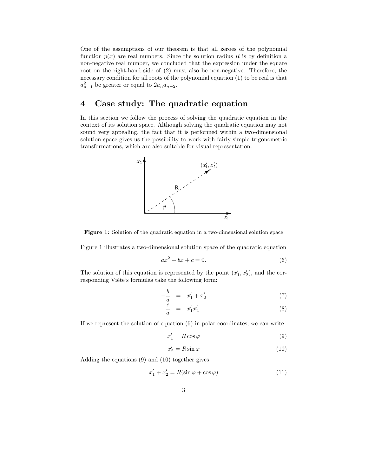One of the assumptions of our theorem is that all zeroes of the polynomial function  $p(x)$  are real numbers. Since the solution radius R is by definition a non-negative real number, we concluded that the expression under the square root on the right-hand side of (2) must also be non-negative. Therefore, the necessary condition for all roots of the polynomial equation (1) to be real is that  $a_{n-1}^2$  be greater or equal to  $2a_na_{n-2}$ .

### 4 Case study: The quadratic equation

In this section we follow the process of solving the quadratic equation in the context of its solution space. Although solving the quadratic equation may not sound very appealing, the fact that it is performed within a two-dimensional solution space gives us the possibility to work with fairly simple trigonometric transformations, which are also suitable for visual representation.



Figure 1: Solution of the quadratic equation in a two-dimensional solution space

Figure 1 illustrates a two-dimensional solution space of the quadratic equation

$$
ax^2 + bx + c = 0.\t\t(6)
$$

The solution of this equation is represented by the point  $(x'_1, x'_2)$ , and the corresponding Viéte's formulas take the following form:

$$
-\frac{b}{a} = x_1' + x_2' \tag{7}
$$

$$
\frac{c}{a} = x_1' x_2' \tag{8}
$$

If we represent the solution of equation (6) in polar coordinates, we can write

$$
x_1' = R\cos\varphi\tag{9}
$$

$$
x_2' = R\sin\varphi\tag{10}
$$

Adding the equations (9) and (10) together gives

$$
x_1' + x_2' = R(\sin \varphi + \cos \varphi)
$$
 (11)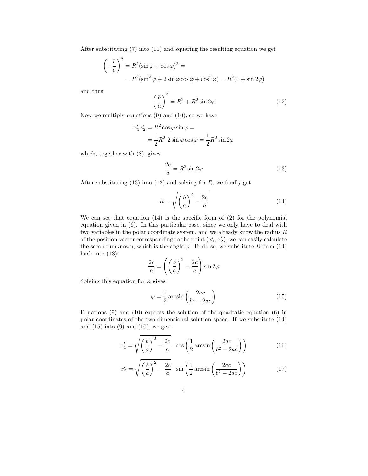After substituting (7) into (11) and squaring the resulting equation we get

$$
\left(-\frac{b}{a}\right)^2 = R^2(\sin\varphi + \cos\varphi)^2 =
$$
  
=  $R^2(\sin^2\varphi + 2\sin\varphi\cos\varphi + \cos^2\varphi) = R^2(1 + \sin 2\varphi)$ 

and thus

$$
\left(\frac{b}{a}\right)^2 = R^2 + R^2 \sin 2\varphi \tag{12}
$$

Now we multiply equations (9) and (10), so we have

$$
x'_1 x'_2 = R^2 \cos \varphi \sin \varphi =
$$
  
=  $\frac{1}{2}R^2 2 \sin \varphi \cos \varphi = \frac{1}{2}R^2 \sin 2\varphi$ 

which, together with (8), gives

$$
\frac{2c}{a} = R^2 \sin 2\varphi \tag{13}
$$

After substituting  $(13)$  into  $(12)$  and solving for R, we finally get

$$
R = \sqrt{\left(\frac{b}{a}\right)^2 - \frac{2c}{a}}\tag{14}
$$

We can see that equation  $(14)$  is the specific form of  $(2)$  for the polynomial equation given in (6). In this particular case, since we only have to deal with two variables in the polar coordinate system, and we already know the radius  $R$ of the position vector corresponding to the point  $(x'_1, x'_2)$ , we can easily calculate the second unknown, which is the angle  $\varphi$ . To do so, we substitute R from (14) back into (13):

$$
\frac{2c}{a} = \left(\left(\frac{b}{a}\right)^2 - \frac{2c}{a}\right)\sin 2\varphi
$$

Solving this equation for  $\varphi$  gives

$$
\varphi = \frac{1}{2}\arcsin\left(\frac{2ac}{b^2 - 2ac}\right) \tag{15}
$$

Equations  $(9)$  and  $(10)$  express the solution of the quadratic equation  $(6)$  in polar coordinates of the two-dimensional solution space. If we substitute (14) and  $(15)$  into  $(9)$  and  $(10)$ , we get:

$$
x_1' = \sqrt{\left(\frac{b}{a}\right)^2 - \frac{2c}{a}} \cos\left(\frac{1}{2}\arcsin\left(\frac{2ac}{b^2 - 2ac}\right)\right)
$$
 (16)

$$
x_2' = \sqrt{\left(\frac{b}{a}\right)^2 - \frac{2c}{a}} \sin\left(\frac{1}{2}\arcsin\left(\frac{2ac}{b^2 - 2ac}\right)\right)
$$
 (17)